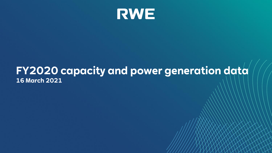

## **FY2020 capacity and power generation data 16 March 2021**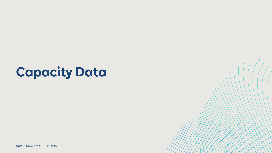# **Capacity Data**

**RWE** 16 Mar 2021 FY 2020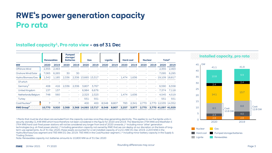## **RWE's power generation capacity Pro rata**

#### **Installed capacity<sup>1</sup>, Pro rata view – as of 31 Dec**

|                              | <b>Renewables</b> |       | <b>Pumped</b><br>storage/<br><b>Batteries</b> |        |       | Gas                             | Lignite |       | <b>Hard coal</b> |       | <b>Nuclear</b> |      |                                 | Total <sup>2</sup> |
|------------------------------|-------------------|-------|-----------------------------------------------|--------|-------|---------------------------------|---------|-------|------------------|-------|----------------|------|---------------------------------|--------------------|
| <b>MW</b>                    | 2020              | 2019  | 2020                                          | 2019   | 2020  | 2019                            | 2020    | 2019  | 2020             | 2019  | 2020           | 2019 | 2020                            | 2019               |
| Offshore Wind                | 2.355             | 2.463 |                                               |        |       |                                 |         |       |                  |       |                | ٠    | 2.355                           | 2.463              |
| Onshore Wind/Solar           | 7.065             | 6.265 | 30                                            | 30     |       |                                 |         |       |                  |       |                |      | $-7.095$                        | 6,295              |
| Hydro/Biomass/Gas            | 1.342             | 1.185 | 2,336                                         |        |       | 2,336 13,665 13,317             |         |       | $-1.474$         | 1.636 |                |      | $-19,109$ 18,817                |                    |
| Of which                     |                   |       |                                               |        |       |                                 |         |       |                  |       |                |      |                                 |                    |
| Germany <sup>3</sup>         | 408               | 416   | 2.336                                         | 2.336  | 3.807 | 3.767                           |         |       |                  |       |                | ٠    | 6.590                           | 6,558              |
| <b>United Kingdom</b>        | 137               | 137   |                                               | $\sim$ | 6.984 | 6.676                           |         |       |                  |       |                |      | $-7.374$                        | 7,118              |
| Netherlands/Belgium          | 748               | 560   |                                               |        | 2,323 | 2.323                           |         |       | $-1.474$         | 1.636 |                |      | $-4.545$                        | 4,519              |
| Turkey                       |                   |       |                                               |        | 551   | 551                             |         |       |                  |       |                |      | 551                             | 551                |
| Coal/Nuclear <sup>3</sup>    | 7                 |       |                                               |        | 400   | 400                             | 8.548   | 8.807 | 783              | 2.341 | 2.770          |      | 2,770 12,535 14,352             |                    |
| <b>RWE Group<sup>4</sup></b> | 10.770            |       | $9.920 \quad 2.368$                           |        |       | 2,368 14,065 13,717 8,548 8,807 |         |       | 2.257            |       |                |      | 3,977 2,770 2,770 41,097 41,929 |                    |

<sup>1</sup> Plants that must be shut down are excluded from the capacity overview once they stop generating electricity. This applies to our five lignite units in security standby (1,448 MW) which have therefore not been considered in the figure for 2020 and 2019. The Ibbenbüren (794 MW) and Westfalen E (764 MW) hard coal-fired power stations will not be considered any longer from end of 2020 onwards. | <sup>2</sup> Including minor 'other' generation technologies (e.g. oil-fired power plants). | <sup>3</sup> Including generation capacity not owned by RWE that we can deploy at our discretion on the basis of longterm use agreements. As of 31 Dec 2020, these assets accounted for a net installed capacity of 2,211 MW (31 Dec 2019: 2,203 MW) in the Hydro/Biomass/Gas segment and 783 MW (31 Dec 2019: 783 MW) in the Coal/Nuclear segment. | <sup>4</sup> Including minor battery capacity in the Supply & Trading Division.

Note: Renewables capacity incl. batteries amounts to 10,800 MW as of 31 Dec 2020

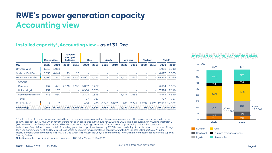## **RWE's power generation capacity Accounting view**

#### **Installed capacity<sup>1</sup>, Accounting view – as of 31 Dec**

|                              | <b>Renewables</b> |       | <b>Pumped</b><br>storage/<br><b>Batteries</b> |       |          | Gas                             | Lignite |       | <b>Hard coal</b> |       | <b>Nuclear</b> |      |                                 | Total <sup>2</sup> |
|------------------------------|-------------------|-------|-----------------------------------------------|-------|----------|---------------------------------|---------|-------|------------------|-------|----------------|------|---------------------------------|--------------------|
| <b>MW</b>                    | 2020              | 2019  | 2020                                          | 2019  | 2020     | 2019                            | 2020    | 2019  | 2020             | 2019  | 2020           | 2019 | 2020                            | 2019               |
| Offshore Wind                | 1.918             | 1.918 |                                               |       |          |                                 |         |       |                  |       |                | ٠    | 1.918                           | 1,918              |
| Onshore Wind/Solar           | 6.858             | 6.044 | 20                                            | 20    |          |                                 |         |       |                  |       |                |      | 6.877                           | 6,063              |
| Hydro/Biomass/Gas            | 1.366             | 1.211 | 2.336                                         |       |          | 2,336 13,901 13,553             |         |       | $-1.474$         | 1.636 |                |      | $-19.369$ 19.080                |                    |
| Of which                     |                   |       |                                               |       |          |                                 |         |       |                  |       |                |      |                                 |                    |
| Germany <sup>3</sup>         | 432               | 441   | 2.336                                         | 2.336 | 3.807    | 3.767                           |         |       |                  |       |                | ٠    | 6,614                           | 6,583              |
| <b>United Kingdom</b>        | 137               | 137   |                                               |       | $-6.984$ | 6.676                           |         |       |                  |       |                |      | $-7.374$                        | 7,118              |
| Netherlands/Belgium          | 748               | 560   |                                               |       | 2,323    | 2.323                           |         |       | $-1.474$         | 1.636 |                |      | $-4.545$                        | 4,519              |
| Turkey                       |                   |       |                                               |       | 787      | 787                             |         |       |                  |       |                |      | 787                             | 787                |
| Coal/Nuclear <sup>3</sup>    | 7                 |       |                                               |       | 400      | 400                             | 8.548   | 8.807 | 783              | 2.341 | 2.770          |      | 2,770 12,535 14,352             |                    |
| <b>RWE Group<sup>4</sup></b> | 10.148            |       | 9.180 2.358                                   |       |          | 2,358 14,301 13,953 8,548 8,807 |         |       | 2.257            |       |                |      | 3,977 2,770 2,770 40,702 41,415 |                    |

<sup>1</sup> Plants that must be shut down are excluded from the capacity overview once they stop generating electricity. This applies to our five lignite units in security standby (1,448 MW) which have therefore not been considered in the figure for 2020 and 2019. The Ibbenbüren (794 MW) and Westfalen E (764 MW) hard coal-fired power stations will not be considered any longer from end of 2020 onwards. | <sup>2</sup> Including minor 'other' generation technologies (e.g. oil-fired power plants). | <sup>3</sup> Including generation capacity not owned by RWE that we can deploy at our discretion on the basis of longterm use agreements. As of 31 Dec 2020, these assets accounted for a net installed capacity of 2,211 MW (31 Dec 2019: 2,203 MW) in the Hydro/Biomass/Gas segment and 783 MW (31 Dec 2019: 783 MW) in the Coal/Nuclear segment. | <sup>4</sup> Including minor battery capacity in the Supply & Trading Division.

Note: Renewables capacity incl. batteries amounts to 10,168 MW as of 31 Dec 2020



**Installed capacity, accounting view**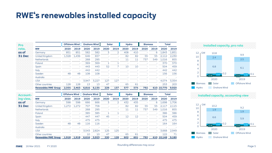### **RWE's renewables installed capacity**

| Pro           |                             |                      | <b>Offshore Wind</b> |                     | <b>Onshore Wind</b> | Solar |               | Hydro                    |      | <b>Biomass</b> |      | Total      |       |
|---------------|-----------------------------|----------------------|----------------------|---------------------|---------------------|-------|---------------|--------------------------|------|----------------|------|------------|-------|
| rata.         | <b>MW</b>                   | 2020                 | 2019                 | 2020                | 2019                | 2020  | 2019          | 2020                     | 2019 | 2020           | 2019 | 2020       | 2019  |
| as of         | Germany                     | 851                  | 851                  | 582                 | 582                 | 3     | $\mathcal{D}$ | 408                      | 410  |                | 6    | 1.843      | 1,851 |
| 31 Dec        | United Kingdom              | 1,328                | 1,436                | 646                 | 657                 |       |               | 82                       | 82   | 55             | 55   | 2,112      | 2,230 |
|               | <b>Netherlands</b>          |                      |                      | 268                 | 295                 |       |               | 11                       | 11   | 737            | 549  | 1,016      | 855   |
|               | Poland                      |                      |                      | 369                 | 369                 | 1     | $\mathbf{1}$  |                          |      |                |      | 370        | 370   |
|               | Spain                       |                      |                      | 443                 | 443                 | 52    | 7             | 10                       | 10   |                |      | 504        | 459   |
|               | Italy                       |                      |                      | 442                 | 442                 |       |               |                          |      |                |      | 442        | 442   |
|               | Sweden                      | 48                   | 48                   | 108                 | 108                 |       |               |                          |      |                |      | 156        | 156   |
|               | Australia                   | ä,                   |                      |                     |                     |       |               |                          |      |                |      |            |       |
|               | <b>USA</b>                  |                      | i,                   | 3,947               | 3,227               | 127   | 127           |                          |      |                | ä,   | 4,074      | 3,354 |
|               | Other countries             | 128                  | 128                  | 13                  | 13                  | 47    |               | 65                       | 61   |                |      | 253        | 203   |
|               | <b>Renewables RWE Group</b> | 2.355                | 2.463                | 6.816               | 6.135               | 229   | 137           | 577                      | 575  | 792            |      | 610 10,770 | 9.920 |
| Account-      |                             | <b>Offshore Wind</b> |                      | <b>Onshore Wind</b> |                     | Solar |               | Hydro                    |      | <b>Biomass</b> |      | Total      |       |
| ing view.     | МW                          | 2020                 | 2019                 | 2020                | 2019                | 2020  | 2019          | 2020                     | 2019 | 2020           | 2019 | 2020       | 2019  |
| as of         | Germany                     | 598                  | 598                  | 666                 | 666                 | 3     | $\mathcal{D}$ | 432                      | 435  |                | 6    | 1.698      | 1.706 |
| <b>31 Dec</b> | United Kingdom              | 1.272                | 1.272                | 707                 | 706                 |       |               | 82                       | 82   | 55             | 55   | 2.117      | 2,115 |
|               | <b>Netherlands</b>          |                      |                      | 268                 | 295                 | ä,    |               | 11                       | 11   | 737            | 549  | 1,016      | 855   |
|               | Poland                      |                      |                      | 385                 | 385                 | 1     | $\mathbf{1}$  | $\overline{\phantom{a}}$ |      |                |      | 386        | 386   |
|               | Spain                       |                      |                      | 447                 | 447                 | 45    |               | 12                       | 12   |                |      | 504        | 459   |
|               | Italy                       |                      |                      | 475                 | 475                 |       |               |                          |      |                |      | 475        | 475   |
|               | Sweden                      | 48                   | 48                   | 116                 | 116                 |       |               |                          |      |                |      | 164        | 164   |
|               | Australia                   |                      |                      |                     |                     |       |               |                          |      |                |      |            |       |
|               | <b>USA</b>                  |                      | ä,                   | 3,543               | 2,824               | 125   | 125           |                          |      |                |      | 3,668      | 2,949 |
|               | Other countries             |                      |                      | 10                  | 10                  | 47    |               | 65                       | 61   |                |      | 122        | 71    |
|               | <b>Renewables RWE Group</b> | 1.918                | 1.918                | 6.616               | 5.923               | 220   | 128           | 602                      | 601  | 792            |      | 610 10.148 | 9,180 |





**Installed capacity, accounting view**

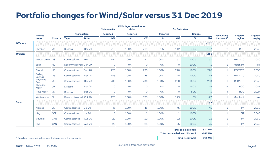## **Portfolio changes for Wind/Solar versus 31 Dec 2019**

|                 |                                                                           |            |                       |               | <b>Net capacity</b>    | <b>RWE's legal consolidation</b><br>stake |              |           | <b>Pro Rata View</b>                 |                           |                     |                        |            |                |
|-----------------|---------------------------------------------------------------------------|------------|-----------------------|---------------|------------------------|-------------------------------------------|--------------|-----------|--------------------------------------|---------------------------|---------------------|------------------------|------------|----------------|
|                 | Project                                                                   |            | <b>Transaction</b>    |               | Reported               | Reported                                  |              | Reported  |                                      | Change                    |                     | <b>Accounting</b>      | Support    | <b>Support</b> |
|                 | name                                                                      | Country    | <b>Type</b>           | <b>Date</b>   | $\mathbf{M}\mathbf{W}$ | %                                         | <b>MW</b>    | %         | <b>MW</b>                            | %                         | <b>MW</b>           | treatment <sup>1</sup> | regime     | expiry         |
| <b>Offshore</b> |                                                                           |            |                       |               |                        |                                           |              |           |                                      |                           | $-107$              |                        |            |                |
|                 | Humber                                                                    | <b>UK</b>  | Disposal              | Dec 20        | 219                    | 100%                                      | 219          | 51%       | 112                                  | $-49%$                    | $-107$              | $\overline{a}$         | <b>ROC</b> | 2035           |
| Onshore         |                                                                           |            |                       |               |                        |                                           |              |           |                                      |                           | 679                 |                        |            |                |
|                 | Peyton Creek US                                                           |            | Commissioned          | Mar 20        | 151                    | 100%                                      | 151          | 100%      | 151                                  | 100%                      | 151                 | $\mathbf{1}$           | REC/PTC    | 2030           |
|                 | Spijk                                                                     | <b>NL</b>  | Decommissioned Jun 20 |               | $\circ$                | 0%                                        | $\circ$      | O%        | $\circ$                              | $-100%$                   | $-1$                | $\mathbf{1}$           | Merchant   | n.a.           |
|                 | Cranell                                                                   | <b>US</b>  | Commissioned          | Sep 20        | 220                    | 100%                                      | 220          | 100%      | 220                                  | 100%                      | 220                 | $\mathbf{1}$           | REC/PTC    | 2030           |
|                 | <b>Boiling</b><br>Springs                                                 | <b>US</b>  | Commissioned          | Dec 20        | 148                    | 100%                                      | 148          | 100%      | 148                                  | 100%                      | 148                 | $\mathbf{1}$           | REC/PTC    | 2030           |
|                 | Raymond<br>East                                                           | <b>US</b>  | Commissioned          | Dec 20        | 200                    | 100%                                      | 200          | 100%      | 200                                  | 100%                      | 200                 | $\mathbf{1}$           | REC/PTC    | 2030           |
|                 | Ovenden<br>Moor                                                           | <b>UK</b>  | Disposal              | Dec 20        | $\circ$                | 0%                                        | $\circ$      | <b>O%</b> | $\circ$                              | $-50%$                    | $-9$                | $\overline{4}$         | <b>ROC</b> | 2037           |
|                 | Royd Moor                                                                 | <b>UK</b>  | Disposal              | Dec 20        | $\circ$                | 0%                                        | $\circ$      | <b>O%</b> | $\circ$                              | $-50%$                    | $-3$                | $\overline{4}$         | <b>ROC</b> | 2027           |
|                 | Westereems   NL                                                           |            | Decommissioned Oct 20 |               | 123                    | 100%                                      | 123          | 100%      | 123                                  | 0%                        | $-27$               | $\mathbf{1}$           | Merchant   | n.a.           |
| Solar           |                                                                           |            |                       |               |                        |                                           |              |           |                                      |                           | 92                  |                        |            |                |
|                 | Alarcos                                                                   | <b>ES</b>  | Commissioned          | <b>Jul 20</b> | 45                     | 100%                                      | 45           | 100%      | 45                                   | 100%                      | 45                  | $\mathbf{1}$           | <b>PPA</b> | 2030           |
|                 | Lieg                                                                      | <b>GER</b> | Commissioned          | <b>Jul 20</b> | $\mathbf{1}$           | 100%                                      | $\mathbf{1}$ | 100%      | $\mathbf{1}$                         | 100%                      | $\mathbf{1}$        | $\mathbf{1}$           | FiT        | 2040           |
|                 | Vauxhall                                                                  | <b>CAN</b> | Commissioned          | Aug 20        | 22                     | 100%                                      | 22           | 100%      | 22                                   | 100%                      | 22                  | 1                      | <b>PPA</b> | 2030           |
|                 | Hull                                                                      | CAN        | Commissioned          | Aug 20        | 25                     | 100%                                      | 25           | 100%      | 25                                   | 100%                      | 25                  | $\mathbf{1}$           | <b>PPA</b> | 2030           |
|                 |                                                                           |            |                       |               |                        |                                           |              |           | <b>Total decommissioned/disposal</b> | <b>Total commissioned</b> | 812 MW<br>$-147$ MW |                        |            |                |
|                 | <sup>1</sup> Details on accounting treatment, please see in the appendix. |            |                       |               |                        |                                           |              |           |                                      | <b>Total net growth</b>   | 665 MW              |                        |            |                |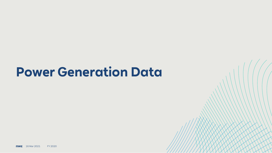## **Power Generation Data**

**RWE** 16 Mar 2021 FY 2020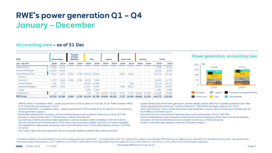## **RWE's power generation Q1 – Q4 January – December**

#### **Accounting view – as of 31 Dec**

| GWh                       |        | <b>Renewables</b> | Pumped<br>storage/<br><b>Batteries</b> |       |        | Gas              |        | Lignite |       | <b>Hard coal</b>           |        | <b>Nuclear</b> | Total <sup>1</sup> |         |
|---------------------------|--------|-------------------|----------------------------------------|-------|--------|------------------|--------|---------|-------|----------------------------|--------|----------------|--------------------|---------|
| Jan - Dec (FY)            | 2020   | 2019              | 2020                                   | 2019  | 2020   | 2019             | 2020   | 2019    | 2020  | 2019                       | 2020   | 2019           | 2020               | 2019    |
| Offshore Wind             | 7.009  | 4.116             |                                        |       |        |                  |        |         |       |                            |        |                | 7.009              | 4,116   |
| Onshore Wind/Solar        | 16.762 | 8.056             |                                        |       |        |                  |        |         |       |                            |        |                | 16.762             | 8.056   |
| Hydro/Biomass/Gas         | 5,910  | 4.202             | 2.060                                  | 1.760 |        | 49.414 50.564    |        |         | 3,584 | 9.466                      |        |                | 61,178             | 66,103  |
| Of which                  |        |                   |                                        |       |        |                  |        |         |       |                            |        |                |                    |         |
| Germany <sup>2</sup>      | 1.737  | 2.026             | 2.060                                  | 1.760 | 8.576  | 7.836            |        |         |       |                            |        |                | 12.583             | 11.733  |
| United Kingdom            | 460    | 577               |                                        |       |        | $-25.250$ 33.482 |        |         |       | 654                        |        |                | 25,710             | 34.713  |
| Netherlands/Belgium       | 3.679  | 1.599             | ٠                                      | ÷     | 11.307 | 6.564            |        |         | 3.584 | 8.812                      |        | ٠              | 18,570             | 16,975  |
| Turkey                    |        |                   |                                        | ۰     | 4.281  | 2.682            |        |         |       |                            |        |                | 4.281              | 2.682   |
| Coal/Nuclear <sup>2</sup> | 19     | 12                |                                        |       | 726    | 224              | 36.649 | 48.249  | 3.791 | 4.734                      | 20.682 | 21.233         | 61,826             | 74,890  |
| <b>RWE Group</b>          | 29,700 | 16,386            | 2.060                                  | 1.760 | 50.140 | 50.788           | 36.649 | 48,249  |       | 7,375 14,200 20,682 21,233 |        |                | 146,775            | 153,165 |





- Offshore Wind: Consolidation effect assets acquired from E.ON included as of 18 Sep 2019. Positive weather effect in Q1 2020 after low wind levels in 2019
- Onshore Wind/Solar: Consolidation effect assets acquired from E.ON included as of 18. Sep 2019. Commissioning of new generation capacity
- Renewables Netherlands: Conversion of Amer and Eemshaven hard coal plants to biomass co-firing (2.9 TWh biomass co-firing at Amer and 0.7 TWh biomass co-firing at Eemshaven)
- Gas Germany: Market price driven higher generation volumes as well as higher availability in first half of 2020
- Gas UK: Less demand in the early part of 2020 due to warm and windy weather and Covid-19 impact thereafter
- Gas Netherlands: Higher power production due to demothballing Claus C (1304 MW); disposal of Inesco (130 MW, Q1 2019)
- Gas Turkey: Higher electricity generation due to favourable weather conditions (less hydro production)
- Lignite: Market price driven lower generation volumes despite positive effect from updated production plan after clarity regarding lignite phase out. Transfer of Neurath C (292 MW) to the lignite reserve in Q4 2019
- Hard coal Germany: mainly market price driven lower generation volumes; decommissioning of Gersteinwerk K2 (614 MW) as of 29 March 2019
- Hard coal UK: Decommissioning of Aberthaw plant as of mid December 2019 (1,560 MW)
- Hard coal Netherlands: lower production at Eemshaven due to market price driven lower commercial dispatch; conversion of Amer and Eemshaven hard coal plant to biomass co-firing (see above)
- Nuclear: mainly damage-related to overhaul at Gundremmingen C

<sup>1</sup> Including capacity not attributable to any of the energy sources mentioned. | <sup>2</sup> Including electricity from generation assets not owned by RWE that we can deploy at our discretion on the basis of long-term use agreeme These purchases amounted to 2,157 GWh (Q1-Q4 2019: 1,829 GWh) in the Hydro/Biomass/Gas segment and 1,009 GWh (Q1-Q4 2019: 1,791 GWh) in the Coal/Nuclear segment.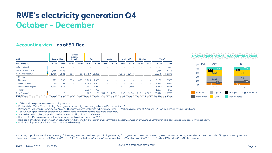## **RWE's electricity generation Q4 October – December**

#### **Accounting view – as of 31 Dec**

| GWh                       | <b>Renewables</b> |                         | Pumped<br>storage/<br><b>Batteries</b> |        |       | Gas                             |        | Lignite | Hard coal <sup>5</sup> |       | <b>Nuclear</b> |       | Total <sup>1</sup> |        |
|---------------------------|-------------------|-------------------------|----------------------------------------|--------|-------|---------------------------------|--------|---------|------------------------|-------|----------------|-------|--------------------|--------|
| $Oct - Dec(O4)$           | 2020              | 2019                    | 2020                                   | 2019   | 2020  | 2019                            | 2020   | 2019    | 2020                   | 2019  | 2020           | 2019  | 2020               | 2019   |
| Offshore Wind             | 2.011             | 1.962                   |                                        |        |       |                                 |        |         |                        |       |                |       | 2,011              | 1,962  |
| Onshore Wind/Solar        | 4.655             | 4.308                   |                                        |        |       |                                 |        |         |                        |       |                | ۰     | 4.655              | 4,308  |
| Hydro/Biomass/Gas         | 1.716             | 1.581                   | 559                                    | 493    |       | 14.487 13.802                   |        | a.      | 1.340                  | 2.448 |                | ÷     | 18.146             | 18.373 |
| Of which                  | ۰                 |                         |                                        |        |       |                                 |        |         |                        |       |                |       |                    |        |
| Germany <sup>2</sup>      | 322               | 583                     | 559                                    | 493    | 2.263 | 2.433                           |        |         |                        |       |                | ۰     | 3.188              | 3,558  |
| United Kingdom            | 95                | 167                     |                                        | $\sim$ | 8.180 | 8.502                           |        |         |                        | 298   | ۰              |       | 8.275              | 8.967  |
| Netherlands/Belgium       | 1.283             | 831                     |                                        |        | 2.837 | 1.912                           |        |         | 1.340                  | 2.150 |                | ۰     | 5.460              | 4.893  |
| Turkey                    |                   |                         |                                        | - 1    | 1.207 | 955                             |        |         |                        |       |                | ۰     | 1,207              | 955    |
| Coal/Nuclear <sup>2</sup> |                   | $\overline{\mathbf{z}}$ |                                        |        | 127   | 51                              | 13.215 | 12,809  | 1.898                  | 1.485 | 5.104          | 6.052 | 20.426             | 20.735 |
| RWE Group <sup>3</sup>    | 8,379             | 7,854                   | 559                                    |        |       | 493 14,614 13,853 13,215 12,809 |        |         | 3,238                  | 3,933 | 5,104          | 6,052 | 45,238             | 45,378 |



• Offshore Wind: Higher wind resource, mainly in the UK

• Onshore Wind / Solar: Commissioning of new generation capacity; lower wind yield across Europe and the US

• Renewables Netherlands: Conversion of Amer and Eemshaven hard coal plants to biomass co-firing (1 TWh biomass co-firing at Amer and 0.3 TWh biomass co-firing at Eemshaven)

• Gas Turkey: Higher electricity generation due to favourable weather conditions (less hydro production)

• Gas Netherlands: Higher gas production due to demothballing Claus C (1,304 MW)

• Hard coal UK: Decommissioning of Aberthaw power plant as of mid December 2019

• Hard coal Netherlands: lower production at Eemshaven due to market price driven lower commercial dispatch; conversion of Amer and Eemshaven hard coal plant to biomass co-firing (see above)

• Nuclear: mainly damage-related to overhaul at Gundremmingen C

<sup>1</sup> Including capacity not attributable to any of the energy sources mentioned. | <sup>2</sup> Including electricity from generation assets not owned by RWE that we can deploy at our discretion on the basis of long-term use agreeme These purchases amounted 576 GWh (Q4 2019: 511 GWh) in the Hydro/Biomass/Gas segment and 535 million kWh (Q4 2019: 650 million kWh) in the Coal/Nuclear segment.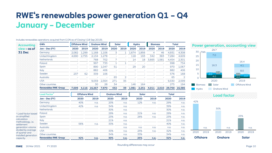## **RWE's renewables power generation Q1 – Q4 January – December**

| <b>Accounting</b>                                 | GWh                                    |       | <b>Offshore Wind</b> | <b>Onshore Wind</b> |       | Solar               |                | <b>Hydro</b> |       | <b>Biomass</b> |       |              | Total          |
|---------------------------------------------------|----------------------------------------|-------|----------------------|---------------------|-------|---------------------|----------------|--------------|-------|----------------|-------|--------------|----------------|
| view - as of                                      | Jan - Dec (FY)                         | 2020  | 2019                 | 2020                | 2019  | 2020                | 2019           | 2020         | 2019  | 2020           | 2019  | 2020         | 2019           |
| 31 Dec                                            | Germany                                | 2,082 | 1,299                | 1,168               | 1,106 | 3                   | $\mathbf{1}$   | 1,674        | 1,856 | $\overline{4}$ | 46    | 4,931        | 4,308          |
|                                                   | <b>United Kingdom</b>                  | 4.690 | 2.755                | 2.134               | 1.278 |                     |                | 118          | 193   | 342            | 383   | 7.284        | 4.609          |
|                                                   | <b>Netherlands</b>                     |       |                      | 768                 | 702   | 7                   | u,             | 14           | 18    | 3,665          | 1.581 | 4,454        | 2,301          |
|                                                   | Poland                                 |       |                      | 997                 | 733   | 1                   | 1              |              |       |                |       | 998          | 734            |
|                                                   | Spain                                  |       |                      | 890                 | 1.047 | 51                  |                | 29           | 20    |                | ٠     | 970          | 1.067          |
|                                                   | Italy                                  |       |                      | 882                 | 406   |                     |                |              |       |                | ٠     | 882          | 406            |
|                                                   | Sweden                                 | 237   | 62                   | 339                 | 106   |                     |                |              |       |                |       | 576          | 168            |
|                                                   | Australia                              |       |                      |                     |       | 65                  | $\overline{2}$ |              |       |                | ÷,    | 65           | $\overline{2}$ |
|                                                   | <b>USA</b>                             |       |                      | 9.059               | 2,564 | 271                 | 35             |              |       |                | ٠     | 9,330        | 2,599          |
|                                                   | Other countries                        |       |                      | 30                  | 28    | 34                  |                | 146          | 164   |                |       | 275          | 194            |
|                                                   | <b>Renewables RWE Group</b>            | 7,009 | 4,116                | 16,267              | 7,970 | 432                 | 39             | 1,981        | 2,251 | 4,011          | 2,010 |              | 29,700 16,386  |
|                                                   | $\ensuremath{\mathsf{Load\,Factor}}^1$ |       | <b>Offshore Wind</b> |                     |       | <b>Onshore Wind</b> |                |              | Solar |                |       | <b>Total</b> |                |
|                                                   | Jan - Dec (FY)                         |       | 2020                 | 2019                |       | 2020                | 2019           |              | 2020  | 2019           |       | 2020         | 2019           |
|                                                   | Germany                                |       | 40%                  | n.a.                |       | 20%                 | n.a.           |              | 12%   | n.a.           |       | 29%          | n.a.           |
|                                                   | United Kingdom                         |       | 42%                  | n.a.                |       | 34%                 | n.a.           |              |       |                |       | 39%          | n.a.           |
|                                                   | <b>Netherlands</b>                     |       |                      |                     |       | 30%                 | n.a.           |              |       |                |       | 30%          | n.a.           |
| <sup>1</sup> Load factor based                    | Poland                                 |       |                      |                     |       | 29%                 | n.a.           |              | 21%   | n.a.           |       | 29%          | n.a.           |
|                                                   | Spain                                  |       |                      |                     |       | 23%                 | n.a.           |              | 26%   | n.a.           |       | 23%          | n.a.           |
| on simplified<br>calculation<br>methodology, i.e. | Italy                                  |       |                      |                     |       | 21%                 | n.a.           |              |       |                |       | 21%          | n.a.           |
|                                                   | Sweden                                 |       | 56%                  | n.a.                |       | 33%                 | n.a.           |              |       |                |       | 40%          | n.a.           |
| generation volume                                 | Australia                              |       |                      |                     |       |                     | n.a.           |              | n.a.  | n.a.           |       | n.a.         | n.a.           |
| divided by average                                | <b>USA</b>                             |       |                      |                     |       | 33%                 | n.a.           |              | 25%   | n.a.           |       | 32%          | n.a.           |
| of quarter end<br>installed generation            | Other countries                        |       |                      |                     |       | 34%                 | n.a.           |              | 33%   |                |       | 34%          | n.a.           |
|                                                   | <b>Renewables RWE Group</b>            |       | 42%                  | n.a.                |       | 30%                 | n.a.           |              | 25%   | n.a.           |       | 32%          | n.a.           |

Includes renewables operations acquired from E.ON as of Closing I (18 Sep 2019).<br>
In the contract of the contract of the contract of the contract of the contract of the contract of the contract of the contract of the contr



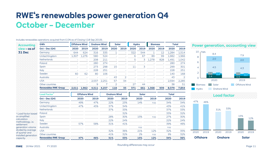## **RWE's renewables power generation Q4 October – December**

| <b>Accounting</b>                      | GWh                                    |       | <b>Offshore Wind</b> | <b>Onshore Wind</b> |       | Solar               |                | <b>Hydro</b> |       | <b>Biomass</b> |      | Total        |                |
|----------------------------------------|----------------------------------------|-------|----------------------|---------------------|-------|---------------------|----------------|--------------|-------|----------------|------|--------------|----------------|
| view - as of                           | $Oct - Dec (Q4)$                       | 2020  | 2019                 | 2020                | 2019  | 2020                | 2019           | 2020         | 2019  | 2020           | 2019 | 2020         | 2019           |
| 31 Dec                                 | Germany                                | 644   | 624                  | 316                 | 335   | $\mathbf{1}$        |                | 322          | 544   | $\mathbf{1}$   | 12   | 1,284        | 1,514          |
|                                        | <b>United Kingdom</b>                  | 1,307 | 1.276                | 580                 | 524   | ٠                   |                | 6            | 67    | 89             | 99   | 1,982        | 1,966          |
|                                        | <b>Netherlands</b>                     |       |                      | 208                 | 211   |                     |                | 5            | 3     | 1.278          | 828  | 1.491        | 1.042          |
|                                        | Poland                                 |       |                      | 280                 | 274   |                     |                | ٠            | ٠     |                |      | 280          | 274            |
|                                        | Spain                                  |       |                      | 273                 | 298   | 15                  |                | 11           | 3     |                |      | 299          | 301            |
|                                        | Italy                                  |       |                      | 228                 | 251   |                     |                |              |       |                |      | 228          | 251            |
|                                        | Sweden                                 | 60    | 62                   | 80                  | 106   |                     |                |              |       |                |      | 140          | 168            |
|                                        | Australia                              |       |                      |                     |       | 43                  | $\overline{2}$ | ٠            |       | ÷,             | ٠    | 43           | $\overline{2}$ |
|                                        | <b>USA</b>                             |       |                      | 2,537               | 2,251 | 57                  | 34             |              |       |                | ٠    | 2,594        | 2,285          |
|                                        | Other countries                        |       |                      | 9                   | 7     | $\overline{2}$      |                | 27           | 44    |                |      | 38           | 51             |
|                                        | <b>Renewables RWE Group</b>            | 2.011 | 1,962                | 4,511               | 4,257 | 118                 | 35             | 371          | 661   | 1,368          | 939  | 8,379        | 7,854          |
|                                        | $\ensuremath{\mathsf{Load\,Factor}}^1$ |       | <b>Offshore Wind</b> |                     |       | <b>Onshore Wind</b> |                |              | Solar |                |      | <b>Total</b> |                |
|                                        | Oct - Dec (Q4)                         |       | 2020                 | 2019                |       | 2020                | 2019           |              | 2020  | 2019           |      | 2020         | 2019           |
|                                        | Germany                                |       | 49%                  | 47%                 |       | 22%                 | 23%            |              | 14%   | n.a.           |      | 34%          | 34%            |
|                                        | <b>United Kingdom</b>                  |       | 47%                  | 45%                 |       | 37%                 | 34%            |              |       |                |      | 43%          | 41%            |
|                                        | <b>Netherlands</b>                     |       |                      |                     |       | 37%                 | 33%            |              |       |                |      | 37%          | 33%            |
| <sup>1</sup> Load factor based         | Poland                                 |       |                      |                     |       |                     | 32%            |              |       |                |      | 33%          | 32%            |
| on simplified                          | Spain                                  |       |                      |                     |       | 28%                 | 30%            |              | 15%   | n.a.           |      | 27%          | 30%            |
| calculation                            | Italy                                  |       |                      |                     |       | 22%                 | 24%            |              |       |                |      | 22%          | 24%            |
| methodology, i.e.<br>settlement        | Sweden                                 |       | 57%                  | 58%                 |       | 31%                 | 41%            |              |       |                |      | 39%          | 46%            |
| generation volume                      | Australia                              |       |                      |                     |       |                     |                |              | n.a.  |                |      | n.a.         |                |
| divided by average                     | <b>USA</b>                             |       |                      |                     |       | 32%                 | 36%            |              | 21%   | 12%            |      | 32%          | 35%            |
| of quarter end<br>installed generation | Other countries                        |       |                      |                     |       | 41%                 | 32%            |              | 2%    | n.a.           |      | 9%           | 32%            |
| capacity.                              | <b>Renewables RWE Group</b>            |       | 47%                  | 46%                 |       | 31%                 | 33%            |              | 15%   | 12%            |      | 34%          | 36%            |

### Includes renewables operations acquired from E.ON as of Closing I (18 Sep 2019).<br>  $\frac{1}{2}$





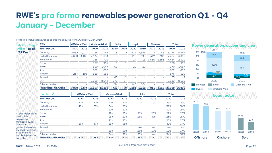## **RWE's pro forma renewables power generation Q1 - Q4 January – December**

| Accounting                             | GWh                         |       | <b>Offshore Wind</b> | <b>Onshore Wind</b>       |       | Solar               |                | Hydro |       | <b>Biomass</b> |       | <b>Total</b>                    |                |
|----------------------------------------|-----------------------------|-------|----------------------|---------------------------|-------|---------------------|----------------|-------|-------|----------------|-------|---------------------------------|----------------|
| view - as of                           | Jan - Dec (FY)              | 2020  | 2019                 | 2020                      | 2019  | 2020                | 2019           | 2020  | 2019  | 2020           | 2019  | 2020                            | 2019           |
| 31 Dec                                 | Germany                     | 2,082 | 2,072                | 1,168                     | 1,148 | 3                   | 2              | 1,674 | 1,856 | $\overline{4}$ | 46    | 5,246                           | 5,249          |
|                                        | United Kingdom              | 4,690 | 4,106                | 2,134                     | 1.684 | ۷                   |                | 118   | 193   | 342            | 383   | 7,284                           | 6,366          |
|                                        | <b>Netherlands</b>          |       |                      | 768                       | 702   | 7                   |                | 14    | 18    | 3.665          | 1.581 | 4.454                           | 2.301          |
|                                        | Poland                      |       |                      | 997                       | 961   | 1                   | 1              |       |       |                |       | 998                             | 962            |
|                                        | Spain                       |       |                      | 890                       | 1.047 | 51                  | ۷              | 29    | 20    |                | ٠     | 970                             | 1.067          |
|                                        | Italy                       |       |                      | 882                       | 865   |                     |                |       |       |                |       | 882                             | 865            |
|                                        | Sweden                      | 237   | 196                  | 339                       | 333   |                     |                |       |       |                | ٠     | 576                             | 529            |
|                                        | Australia                   |       |                      |                           |       | 65                  | $\overline{2}$ |       |       |                |       | 65                              | $\overline{2}$ |
|                                        | <b>USA</b>                  |       |                      | 9.059                     | 8.544 | 271                 | 64             |       |       |                |       | 9.330                           | 8.608          |
|                                        | Other countries             |       |                      | 30                        | 28    | 34                  |                | 146   | 164   |                |       | 151                             | 66             |
|                                        | <b>Renewables RWE Group</b> |       |                      | 7,009 6,374 16,267 15,312 |       | 432                 | 69             | 1,981 |       |                |       | 2,251 4,011 2,010 29,700 26,016 |                |
|                                        | Load Factor $\overline{1}$  |       | <b>Offshore Wind</b> |                           |       | <b>Onshore Wind</b> |                |       | Solar |                |       | <b>Total</b>                    |                |
|                                        | Jan – Dec (FY)              |       | 2020                 | 2019                      |       | 2020                | 2019           |       | 2020  | 2019           |       | 2020                            | 2019           |
|                                        | Germany                     |       | 40%                  | 40%                       |       | 20%                 | 20%            |       | 12%   | 10%            |       | 29%                             | 29%            |
|                                        | United Kingdom              |       | 42%                  | 37%                       |       | 34%                 | 28%            |       |       |                |       | 39%                             | 34%            |
|                                        | <b>Netherlands</b>          |       |                      |                           |       | 30%                 | 27%            |       |       |                |       | 30%                             | 27%            |
| <sup>1</sup> Load factor based         | Poland                      |       |                      |                           |       | 29%                 | 28%            |       | 21%   | 21%            |       | 29%                             | 28%            |
| on simplified                          | Spain                       |       |                      |                           |       | 23%                 | 27%            |       | 26%   | n.a.           |       | 23%                             | 27%            |
| calculation                            | Italy                       |       |                      |                           |       | 21%                 | 23%            |       |       |                |       | 21%                             | 23%            |
| methodology, i.e.<br>settlement        | Sweden                      |       | 56%                  | 47%                       |       | 33%                 | 33%            |       |       |                |       | 40%                             | 37%            |
| aeneration volume                      | Australia                   |       |                      |                           |       |                     |                |       | n.a.  | n.a.           |       | n.a.                            | n.a.           |
| divided by average                     | <b>USA</b>                  |       |                      |                           |       | 33%                 | 35%            |       | 25%   | 17%            |       | 32%                             | 34%            |
| of quarter end<br>installed generation | Other countries             |       |                      |                           |       | 34%                 | 32%            |       | 33%   | n.a.           |       | 34%                             | 32%            |
| capacity.                              | <b>Renewables RWE Group</b> |       | 42%                  | 38%                       |       | 30%                 | 30%            |       | 25%   | 17%            |       | 32%                             | 32%            |

#### Pro forma: Includes renewables operations acquired from E.ON as of 1 Jan 2019.